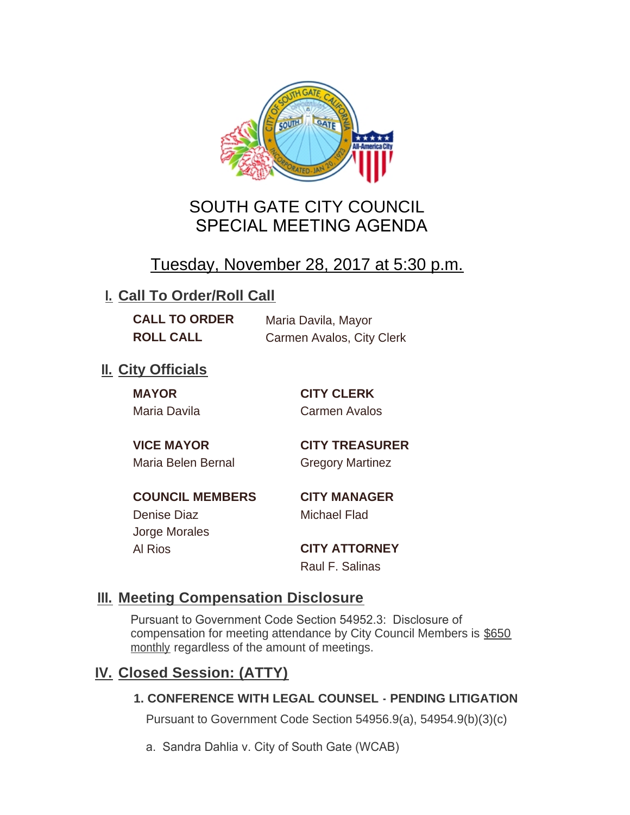

# SOUTH GATE CITY COUNCIL SPECIAL MEETING AGENDA

# Tuesday, November 28, 2017 at 5:30 p.m.

# **I. Call To Order/Roll Call**

**CALL TO ORDER** Maria Davila, Mayor **ROLL CALL** Carmen Avalos, City Clerk

# **II.** City Officials

**MAYOR CITY CLERK** Maria Davila Carmen Avalos

Maria Belen Bernal Gregory Martinez

**VICE MAYOR CITY TREASURER**

**COUNCIL MEMBERS CITY MANAGER** Denise Diaz Michael Flad

Jorge Morales

Al Rios **CITY ATTORNEY** Raul F. Salinas

### **Meeting Compensation Disclosure III.**

Pursuant to Government Code Section 54952.3: Disclosure of compensation for meeting attendance by City Council Members is \$650 monthly regardless of the amount of meetings.

### **Closed Session: (ATTY) IV.**

#### **1. CONFERENCE WITH LEGAL COUNSEL - PENDING LITIGATION**

Pursuant to Government Code Section 54956.9(a), 54954.9(b)(3)(c)

a. Sandra Dahlia v. City of South Gate (WCAB)